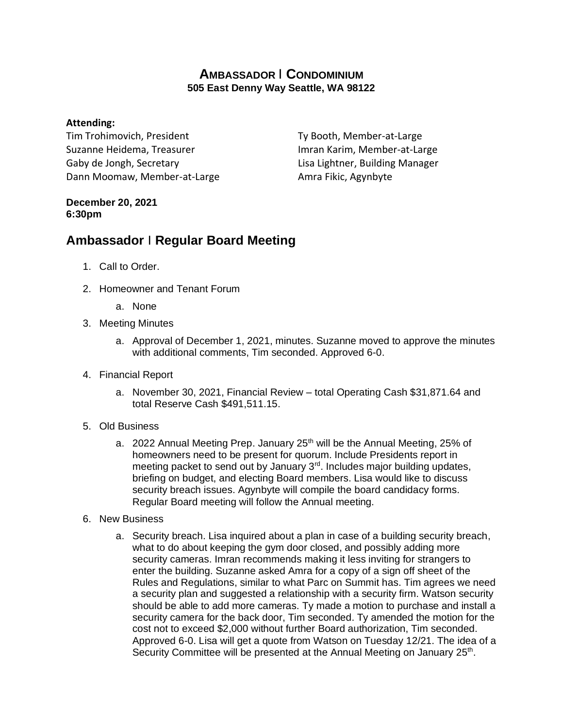## **AMBASSADOR** I **CONDOMINIUM 505 East Denny Way Seattle, WA 98122**

## **Attending:**

Tim Trohimovich, President Suzanne Heidema, Treasurer Gaby de Jongh, Secretary Dann Moomaw, Member-at-Large

Ty Booth, Member-at-Large Imran Karim, Member-at-Large Lisa Lightner, Building Manager Amra Fikic, Agynbyte

## **December 20, 2021 6:30pm**

## **Ambassador** I **Regular Board Meeting**

- 1. Call to Order.
- 2. Homeowner and Tenant Forum
	- a. None
- 3. Meeting Minutes
	- a. Approval of December 1, 2021, minutes. Suzanne moved to approve the minutes with additional comments, Tim seconded. Approved 6-0.
- 4. Financial Report
	- a. November 30, 2021, Financial Review total Operating Cash \$31,871.64 and total Reserve Cash \$491,511.15.
- 5. Old Business
	- a. 2022 Annual Meeting Prep. January  $25<sup>th</sup>$  will be the Annual Meeting, 25% of homeowners need to be present for quorum. Include Presidents report in meeting packet to send out by January 3<sup>rd</sup>. Includes major building updates, briefing on budget, and electing Board members. Lisa would like to discuss security breach issues. Agynbyte will compile the board candidacy forms. Regular Board meeting will follow the Annual meeting.
- 6. New Business
	- a. Security breach. Lisa inquired about a plan in case of a building security breach, what to do about keeping the gym door closed, and possibly adding more security cameras. Imran recommends making it less inviting for strangers to enter the building. Suzanne asked Amra for a copy of a sign off sheet of the Rules and Regulations, similar to what Parc on Summit has. Tim agrees we need a security plan and suggested a relationship with a security firm. Watson security should be able to add more cameras. Ty made a motion to purchase and install a security camera for the back door, Tim seconded. Ty amended the motion for the cost not to exceed \$2,000 without further Board authorization, Tim seconded. Approved 6-0. Lisa will get a quote from Watson on Tuesday 12/21. The idea of a Security Committee will be presented at the Annual Meeting on January 25<sup>th</sup>.